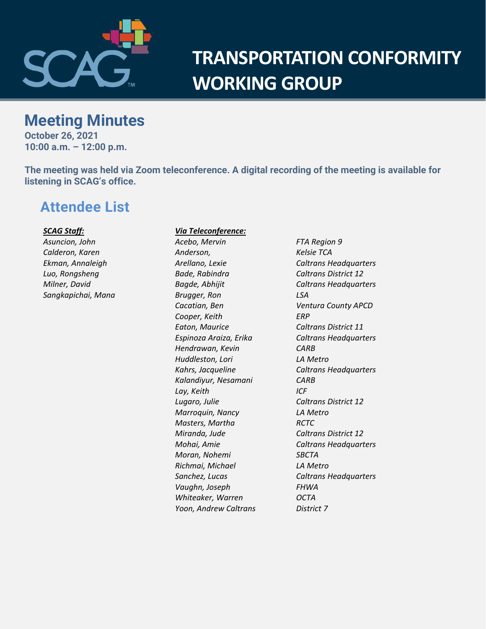

# **TRANSPORTATION CONFORMITY WORKING GROUP**

# **Meeting Minutes**

**October 26, 2021 10:00 a.m. – 12:00 p.m.**

**The meeting was held via Zoom teleconference. A digital recording of the meeting is available for listening in SCAG's office.**

# **Attendee List**

#### *SCAG Staff:*

*Asuncion, John Calderon, Karen Ekman, Annaleigh Luo, Rongsheng Milner, David Sangkapichai, Mana*

#### *Via Teleconference:*

*Acebo, Mervin FTA Region 9 Anderson, Kelsie TCA Bade, Rabindra Caltrans District 12 Brugger, Ron LSA Cacatian, Ben Ventura County APCD Cooper, Keith ERP Eaton, Maurice Caltrans District 11 Hendrawan, Kevin CARB Huddleston, Lori LA Metro Kalandiyur, Nesamani CARB Lay, Keith ICF Lugaro, Julie Caltrans District 12 Marroquin, Nancy LA Metro Masters, Martha RCTC Miranda, Jude Caltrans District 12 Moran, Nohemi SBCTA Richmai, Michael LA Metro Vaughn, Joseph FHWA Whiteaker, Warren OCTA Yoon, Andrew Caltrans District 7*

*Arellano, Lexie Caltrans Headquarters Bagde, Abhijit Caltrans Headquarters Espinoza Araiza, Erika Caltrans Headquarters Kahrs, Jacqueline Caltrans Headquarters Mohai, Amie Caltrans Headquarters Sanchez, Lucas Caltrans Headquarters*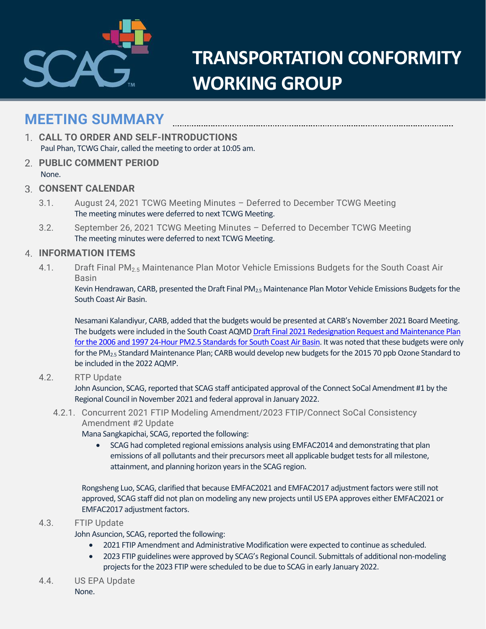

# **TRANSPORTATION CONFORMITY WORKING GROUP**

# **MEETING SUMMARY**

- **CALL TO ORDER AND SELF-INTRODUCTIONS** Paul Phan, TCWG Chair, called the meeting to order at 10:05 am.
- **PUBLIC COMMENT PERIOD** None.
- **CONSENT CALENDAR**
	- 3.1. August 24, 2021 TCWG Meeting Minutes Deferred to December TCWG Meeting The meeting minutes were deferred to next TCWG Meeting.
	- 3.2. September 26, 2021 TCWG Meeting Minutes Deferred to December TCWG Meeting The meeting minutes were deferred to next TCWG Meeting.

### **INFORMATION ITEMS**

4.1. Draft Final PM<sub>2.5</sub> Maintenance Plan Motor Vehicle Emissions Budgets for the South Coast Air Basin

Kevin Hendrawan, CARB, presented the Draft Final PM<sub>2.5</sub> Maintenance Plan Motor Vehicle Emissions Budgets for the South Coast Air Basin.

Nesamani Kalandiyur, CARB, added that the budgets would be presented at CARB's November 2021 Board Meeting. The budgets were included in the South Coast AQMD [Draft Final 2021 Redesignation Request and Maintenance Plan](https://ww2.arb.ca.gov/sites/default/files/2021-10/draft-final-pm2-5-redesignation-request-and-maintenance-plan.pdf)  [for the 2006 and 1997 24-Hour PM2.5 Standards for South Coast Air Basin.](https://ww2.arb.ca.gov/sites/default/files/2021-10/draft-final-pm2-5-redesignation-request-and-maintenance-plan.pdf) It was noted that these budgets were only for the PM2.5 Standard Maintenance Plan; CARB would develop new budgets for the 2015 70 ppb Ozone Standard to be included in the 2022 AQMP.

#### 4.2. RTP Update

John Asuncion, SCAG, reported that SCAG staff anticipated approval of the Connect SoCal Amendment #1 by the Regional Council in November 2021 and federal approval in January 2022.

4.2.1. Concurrent 2021 FTIP Modeling Amendment/2023 FTIP/Connect SoCal Consistency Amendment #2 Update

Mana Sangkapichai, SCAG, reported the following:

• SCAG had completed regional emissions analysis using EMFAC2014 and demonstrating that plan emissions of all pollutants and their precursors meet all applicable budget tests for all milestone, attainment, and planning horizon years in the SCAG region.

Rongsheng Luo, SCAG, clarified that because EMFAC2021 and EMFAC2017 adjustment factors were still not approved, SCAG staff did not plan on modeling any new projects until US EPA approves either EMFAC2021 or EMFAC2017 adjustment factors.

4.3. FTIP Update

## John Asuncion, SCAG, reported the following:

- 2021 FTIP Amendment and Administrative Modification were expected to continue as scheduled.
- 2023 FTIP guidelines were approved by SCAG's Regional Council. Submittals of additional non-modeling projects for the 2023 FTIP were scheduled to be due to SCAG in early January 2022.
- 4.4. US EPA Update None.